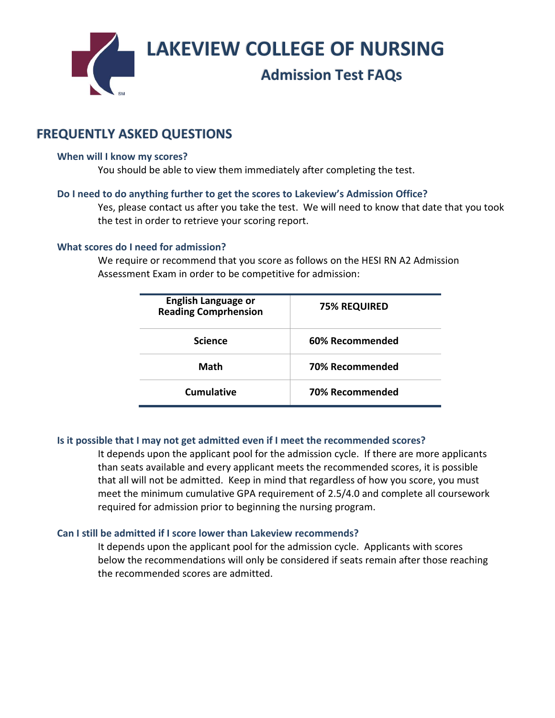**LAKEVIEW COLLEGE OF NURSING**

# **Admission Test FAQs**

# **FREQUENTLY ASKED QUESTIONS**

#### **When will I know my scores?**

You should be able to view them immediately after completing the test.

#### **Do I need to do anything further to get the scores to Lakeview's Admission Office?**

Yes, please contact us after you take the test. We will need to know that date that you took the test in order to retrieve your scoring report.

#### **What scores do I need for admission?**

We require or recommend that you score as follows on the HESI RN A2 Admission Assessment Exam in order to be competitive for admission:

| <b>English Language or</b><br><b>Reading Comprhension</b> | <b>75% REQUIRED</b> |
|-----------------------------------------------------------|---------------------|
| <b>Science</b>                                            | 60% Recommended     |
| Math                                                      | 70% Recommended     |
| Cumulative                                                | 70% Recommended     |

# **Is it possible that I may not get admitted even if I meet the recommended scores?**

It depends upon the applicant pool for the admission cycle. If there are more applicants than seats available and every applicant meets the recommended scores, it is possible that all will not be admitted. Keep in mind that regardless of how you score, you must meet the minimum cumulative GPA requirement of 2.5/4.0 and complete all coursework required for admission prior to beginning the nursing program.

# **Can I still be admitted if I score lower than Lakeview recommends?**

It depends upon the applicant pool for the admission cycle. Applicants with scores below the recommendations will only be considered if seats remain after those reaching the recommended scores are admitted.